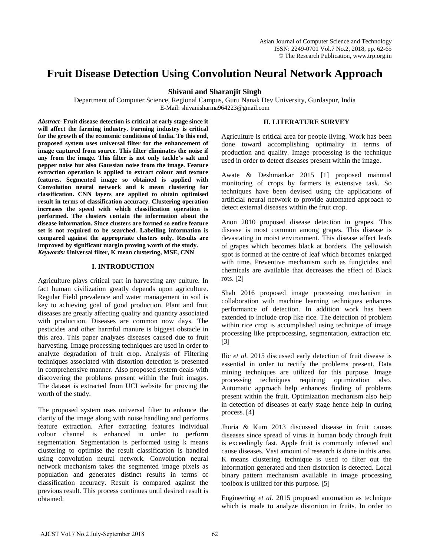# **Fruit Disease Detection Using Convolution Neural Network Approach**

## **Shivani and Sharanjit Singh**

Department of Computer Science, Regional Campus, Guru Nanak Dev University, Gurdaspur, India E-Mail: shivanisharma964223@gmail.com

*Abstract-* **Fruit disease detection is critical at early stage since it will affect the farming industry. Farming industry is critical for the growth of the economic conditions of India. To this end, proposed system uses universal filter for the enhancement of image captured from source. This filter eliminates the noise if any from the image. This filter is not only tackle's salt and pepper noise but also Gaussian noise from the image. Feature extraction operation is applied to extract colour and texture features. Segmented image so obtained is applied with Convolution neural network and k mean clustering for classification. CNN layers are applied to obtain optimised result in terms of classification accuracy. Clustering operation increases the speed with which classification operation is performed. The clusters contain the information about the disease information. Since clusters are formed so entire feature set is not required to be searched. Labelling information is compared against the appropriate clusters only. Results are improved by significant margin proving worth of the study.** *Keywords:* **Universal filter, K mean clustering, MSE, CNN**

## **I. INTRODUCTION**

Agriculture plays critical part in harvesting any culture. In fact human civilization greatly depends upon agriculture. Regular Field prevalence and water management in soil is key to achieving goal of good production. Plant and fruit diseases are greatly affecting quality and quantity associated with production. Diseases are common now days. The pesticides and other harmful manure is biggest obstacle in this area. This paper analyzes diseases caused due to fruit harvesting. Image processing techniques are used in order to analyze degradation of fruit crop. Analysis of Filtering techniques associated with distortion detection is presented in comprehensive manner. Also proposed system deals with discovering the problems present within the fruit images. The dataset is extracted from UCI website for proving the worth of the study.

The proposed system uses universal filter to enhance the clarity of the image along with noise handling and performs feature extraction. After extracting features individual colour channel is enhanced in order to perform segmentation. Segmentation is performed using k means clustering to optimise the result classification is handled using convolution neural network. Convolution neural network mechanism takes the segmented image pixels as population and generates distinct results in terms of classification accuracy. Result is compared against the previous result. This process continues until desired result is obtained.

## **II. LITERATURE SURVEY**

Agriculture is critical area for people living. Work has been done toward accomplishing optimality in terms of production and quality. Image processing is the technique used in order to detect diseases present within the image.

Awate & Deshmankar 2015 [1] proposed mannual monitoring of crops by farmers is extensive task. So techniques have been devised using the applications of artificial neural network to provide automated approach to detect external diseases within the fruit crop.

Anon 2010 proposed disease detection in grapes. This disease is most common among grapes. This disease is devastating in moist environment. This disease affect leafs of grapes which becomes black at borders. The yellowish spot is formed at the centre of leaf which becomes enlarged with time. Preventive mechanism such as fungicides and chemicals are available that decreases the effect of Black rots. [2]

Shah 2016 proposed image processing mechanism in collaboration with machine learning techniques enhances performance of detection. In addition work has been extended to include crop like rice. The detection of problem within rice crop is accomplished using technique of image processing like preprocessing, segmentation, extraction etc. [3]

Ilic *et al.* 2015 discussed early detection of fruit disease is essential in order to rectify the problems present. Data mining techniques are utilized for this purpose. Image processing techniques requiring optimization also. Automatic approach help enhances finding of problems present within the fruit. Optimization mechanism also help in detection of diseases at early stage hence help in curing process. [4]

Jhuria & Kum 2013 discussed disease in fruit causes diseases since spread of virus in human body through fruit is exceedingly fast. Apple fruit is commonly infected and cause diseases. Vast amount of research is done in this area. K means clustering technique is used to filter out the information generated and then distortion is detected. Local binary pattern mechanism available in image processing toolbox is utilized for this purpose. [5]

Engineering *et al.* 2015 proposed automation as technique which is made to analyze distortion in fruits. In order to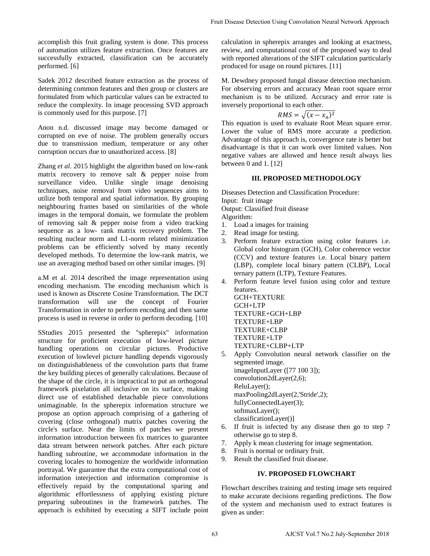accomplish this fruit grading system is done. This process of automation utilizes feature extraction. Once features are successfully extracted, classification can be accurately performed. [6]

Sadek 2012 described feature extraction as the process of determining common features and then group or clusters are formulated from which particular values can be extracted to reduce the complexity. In image processing SVD approach is commonly used for this purpose. [7]

Anon n.d. discussed image may become damaged or corrupted on eve of noise. The problem generally occurs due to transmission medium, temperature or any other corruption occurs due to unauthorized access. [8]

Zhang *et al.* 2015 highlight the algorithm based on low-rank matrix recovery to remove salt & pepper noise from surveillance video. Unlike single image denoising techniques, noise removal from video sequences aims to utilize both temporal and spatial information. By grouping neighbouring frames based on similarities of the whole images in the temporal domain, we formulate the problem of removing salt & pepper noise from a video tracking sequence as a low- rank matrix recovery problem. The resulting nuclear norm and L1-norm related minimization problems can be efficiently solved by many recently developed methods. To determine the low-rank matrix, we use an averaging method based on other similar images. [9]

a.M et al. 2014 described the image representation using encoding mechanism. The encoding mechanism which is used is known as Discrete Cosine Transformation. The DCT transformation will use the concept of Fourier Transformation in order to perform encoding and then same process is used in reverse in order to perform decoding. [10]

SStudies 2015 presented the "spherepix" information structure for proficient execution of low-level picture handling operations on circular pictures. Productive execution of lowlevel picture handling depends vigorously on distinguishableness of the convolution parts that frame the key building pieces of generally calculations. Because of the shape of the circle, it is impractical to put an orthogonal framework pixelation all inclusive on its surface, making direct use of established detachable piece convolutions unimaginable. In the spherepix information structure we propose an option approach comprising of a gathering of covering (close orthogonal) matrix patches covering the circle's surface. Near the limits of patches we present information introduction between fix matrices to guarantee data stream between network patches. After each picture handling subroutine, we accommodate information in the covering locales to homogenize the worldwide information portrayal. We guarantee that the extra computational cost of information interjection and information compromise is effectively repaid by the computational sparing and algorithmic effortlessness of applying existing picture preparing subroutines in the framework patches. The approach is exhibited by executing a SIFT include point

calculation in spherepix arranges and looking at exactness, review, and computational cost of the proposed way to deal with reported alterations of the SIFT calculation particularly produced for usage on round pictures. [11]

M. Dewdney proposed fungal disease detection mechanism. For observing errors and accuracy Mean root square error mechanism is to be utilized. Accuracy and error rate is inversely proportional to each other.

$$
RMS = \sqrt{(x - x_a)^2}
$$

This equation is used to evaluate Root Mean square error. Lower the value of RMS more accurate a prediction. Advantage of this approach is, convergence rate is better but disadvantage is that it can work over limited values. Non negative values are allowed and hence result always lies between 0 and 1. [12]

### **III. PROPOSED METHODOLOGY**

Diseases Detection and Classification Procedure: Input: fruit image Output: Classified fruit disease Algorithm:

- 1. Load a images for training
- 2. Read image for testing.
- 3. Perform feature extraction using color features i.e. Global color histogram (GCH), Color coherence vector (CCV) and texture features i.e. Local binary pattern (LBP), complete local binary pattern (CLBP), Local ternary pattern (LTP), Texture Features.
- 4. Perform feature level fusion using color and texture features.

GCH+TEXTURE GCH+LTP TEXTURE+GCH+LBP TEXTURE+LBP TEXTURE+CLBP TEXTURE+LTP TEXTURE+CLBP+LTP

- 5. Apply Convolution neural network classifier on the segmented image. imageInputLayer ([77 100 3]); convolution2dLayer(2,6); ReluLayer(); maxPooling2dLayer(2,'Stride',2); fullyConnectedLayer(3); softmaxLayer(); classificationLayer()] Four Disseas Detection Using Convolution Neural Network Approach<br>
calculation in sphereply arranges and looking at exactness<br>
volvin, and computational case of the proposed buy in data<br>
produced for masser on round pictur
	- 6. If fruit is infected by any disease then go to step 7 otherwise go to step 8.
	- 7. Apply k mean clustering for image segmentation.
	- 8. Fruit is normal or ordinary fruit.
	- 9. Result the classified fruit disease.

#### **IV. PROPOSED FLOWCHART**

Flowchart describes training and testing image sets required to make accurate decisions regarding predictions. The flow of the system and mechanism used to extract features is given as under: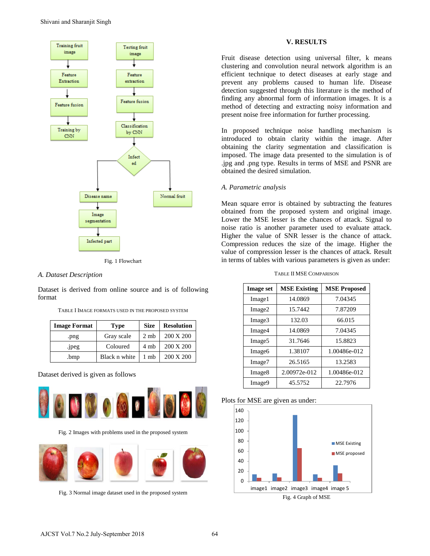

Fig. 1 Flowchart

## *A. Dataset Description*

Dataset is derived from online source and is of following format

| <b>Image Format</b> | <b>Type</b>   | <b>Size</b>     | <b>Resolution</b> |
|---------------------|---------------|-----------------|-------------------|
| .png                | Gray scale    | 2 <sub>mb</sub> | 200 X 200         |
| .jpeg               | Coloured      | 4 mb            | 200 X 200         |
| .bmp                | Black n white | 1 mh            | 200 X 200         |

TABLE I IMAGE FORMATS USED IN THE PROPOSED SYSTEM

#### Dataset derived is given as follows



Fig. 2 Images with problems used in the proposed system



Fig. 3 Normal image dataset used in the proposed system

### **V. RESULTS**

Fruit disease detection using universal filter, k means clustering and convolution neural network algorithm is an efficient technique to detect diseases at early stage and prevent any problems caused to human life. Disease detection suggested through this literature is the method of finding any abnormal form of information images. It is a method of detecting and extracting noisy information and present noise free information for further processing.

In proposed technique noise handling mechanism is introduced to obtain clarity within the image. After obtaining the clarity segmentation and classification is imposed. The image data presented to the simulation is of .jpg and .png type. Results in terms of MSE and PSNR are obtained the desired simulation.

#### *A. Parametric analysis*

Mean square error is obtained by subtracting the features obtained from the proposed system and original image. Lower the MSE lesser is the chances of attack. Signal to noise ratio is another parameter used to evaluate attack. Higher the value of SNR lesser is the chance of attack. Compression reduces the size of the image. Higher the value of compression lesser is the chances of attack. Result in terms of tables with various parameters is given as under:

|  |  | TABLE II MSE COMPARISON |
|--|--|-------------------------|
|--|--|-------------------------|

| <b>Image set</b>   | <b>MSE Existing</b> | <b>MSE Proposed</b> |
|--------------------|---------------------|---------------------|
| Image1             | 14.0869             | 7.04345             |
| Image2             | 15.7442             | 7.87209             |
| Image3             | 132.03              | 66.015              |
| Image4             | 14.0869             | 7.04345             |
| Image <sub>5</sub> | 31.7646             | 15.8823             |
| Image <sub>6</sub> | 1.38107             | 1.00486e-012        |
| Image7             | 26.5165             | 13.2583             |
| Image <sub>8</sub> | 2.00972e-012        | 1.00486e-012        |
| Image9             | 45.5752             | 22.7976             |

#### Plots for MSE are given as under: